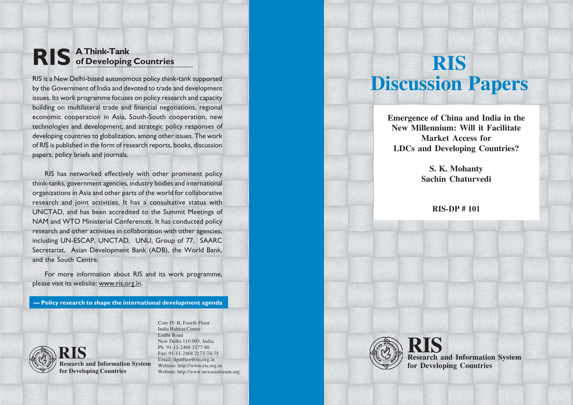# **RIS A Think-Tank of Developing Countries**

RIS is a New Delhi-based autonomous policy think-tank supported by the Government of India and devoted to trade and development issues. Its work programme focuses on policy research and capacity building on multilateral trade and financial negotiations, regional economic cooperation in Asia, South-South cooperation, new technologies and development, and strategic policy responses of developing countries to globalization, among other issues. The work of RIS is published in the form of research reports, books, discussion papers, policy briefs and journals.

RIS has networked effectively with other prominent policy think-tanks, government agencies, industry bodies and international organizations in Asia and other parts of the world for collaborative research and joint activities. It has a consultative status with UNCTAD, and has been accredited to the Summit Meetings of NAM and WTO Ministerial Conferences. It has conducted policy research and other activities in collaboration with other agencies, including UN-ESCAP, UNCTAD, UNU, Group of 77, SAARC Secretariat, Asian Development Bank (ADB), the World Bank, and the South Centre.

For more information about RIS and its work programme, please visit its website: www.ris.org.in.

**— Policy research to shape the international development agenda**



**Research and Information System RIS for Developing Countries**

Core IV-B, Fourth Floor India Habitat Centre Lodhi Road New Delhi-110 003, India. Ph. 91-11-2468 2177-80 Fax: 91-11-2468 2173-74-75 Email: dgoffice@ris.org.in Website: http://www.ris.org.in Website: http://www.newasiaforum.org

# **RIS Discussion Papers**

**Emergence of China and India in the New Millennium: Will it Facilitate Market Access for LDCs and Developing Countries?**

> **S. K. Mohanty Sachin Chaturvedi**

> > **RIS-DP # 101**



**Research and Information System RIS for Developing Countries**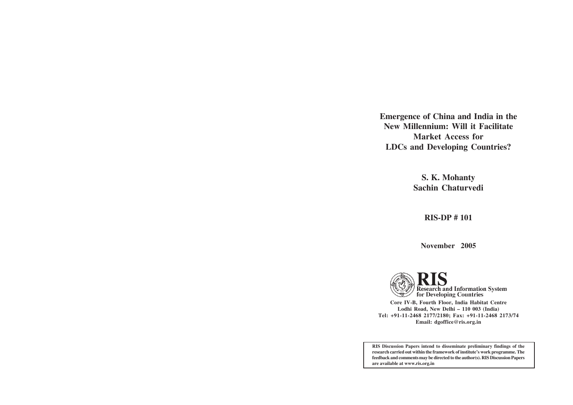**Emergence of China and India in the New Millennium: Will it Facilitate Market Access for LDCs and Developing Countries?**

> **S. K. Mohanty Sachin Chaturvedi**

> > **RIS-DP # 101**

**November 2005**

Research and Information System<br>for Developing Countries **Core IV-B, Fourth Floor, India Habitat Centre Lodhi Road, New Delhi – 110 003 (India) Tel: +91-11-2468 2177/2180; Fax: +91-11-2468 2173/74 Email: dgoffice@ris.org.in**

**RIS Discussion Papers intend to disseminate preliminary findings of the research carried out within the framework of institute's work programme. The feedback and comments may be directed to the author(s). RIS Discussion Papers are available at www.ris.org.in**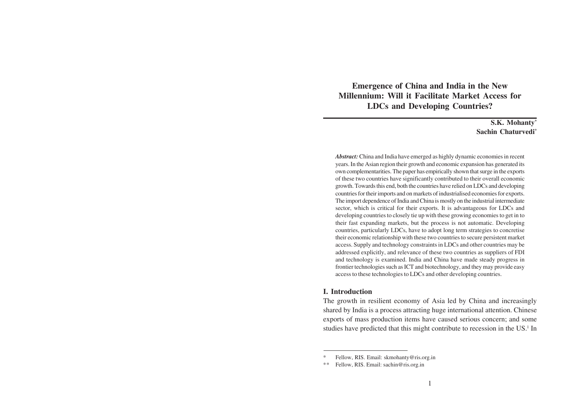**Emergence of China and India in the New Millennium: Will it Facilitate Market Access for LDCs and Developing Countries?**

> **S.K. Mohanty\* Sachin Chaturvedi\***

*Abstract:* China and India have emerged as highly dynamic economies in recent years. In the Asian region their growth and economic expansion has generated its own complementarities. The paper has empirically shown that surge in the exports of these two countries have significantly contributed to their overall economic growth. Towards this end, both the countries have relied on LDCs and developing countries for their imports and on markets of industrialised economies for exports. The import dependence of India and China is mostly on the industrial intermediate sector, which is critical for their exports. It is advantageous for LDCs and developing countries to closely tie up with these growing economies to get in to their fast expanding markets, but the process is not automatic. Developing countries, particularly LDCs, have to adopt long term strategies to concretise their economic relationship with these two countries to secure persistent market access. Supply and technology constraints in LDCs and other countries may be addressed explicitly, and relevance of these two countries as suppliers of FDI and technology is examined. India and China have made steady progress in frontier technologies such as ICT and biotechnology, and they may provide easy access to these technologies to LDCs and other developing countries.

#### **I. Introduction**

The growth in resilient economy of Asia led by China and increasingly shared by India is a process attracting huge international attention. Chinese exports of mass production items have caused serious concern; and some studies have predicted that this might contribute to recession in the US.<sup>1</sup> In

Fellow, RIS. Email: skmohanty@ris.org.in

<sup>\*\*</sup> Fellow, RIS. Email: sachin@ris.org.in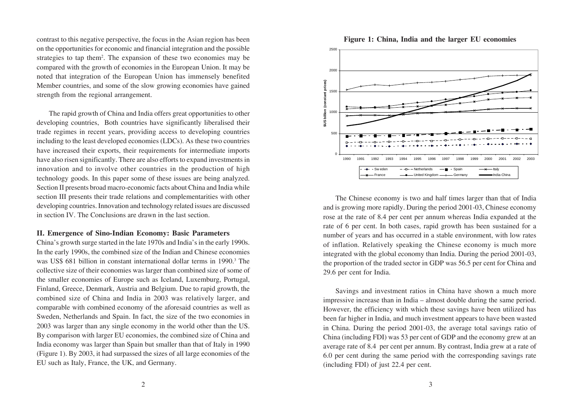contrast to this negative perspective, the focus in the Asian region has been on the opportunities for economic and financial integration and the possible strategies to tap them<sup>2</sup>. The expansion of these two economies may be compared with the growth of economies in the European Union. It may be noted that integration of the European Union has immensely benefited Member countries, and some of the slow growing economies have gained strength from the regional arrangement.

The rapid growth of China and India offers great opportunities to other developing countries, Both countries have significantly liberalised their trade regimes in recent years, providing access to developing countries including to the least developed economies (LDCs). As these two countries have increased their exports, their requirements for intermediate imports have also risen significantly. There are also efforts to expand investments in innovation and to involve other countries in the production of high technology goods. In this paper some of these issues are being analyzed. Section II presents broad macro-economic facts about China and India while section III presents their trade relations and complementarities with other developing countries. Innovation and technology related issues are discussed in section IV. The Conclusions are drawn in the last section.

## **II. Emergence of Sino-Indian Economy: Basic Parameters**

China's growth surge started in the late 1970s and India's in the early 1990s. In the early 1990s, the combined size of the Indian and Chinese economies was US\$ 681 billion in constant international dollar terms in 1990.<sup>3</sup> The collective size of their economies was larger than combined size of some of the smaller economies of Europe such as Iceland, Luxemburg, Portugal, Finland, Greece, Denmark, Austria and Belgium. Due to rapid growth, the combined size of China and India in 2003 was relatively larger, and comparable with combined economy of the aforesaid countries as well as Sweden, Netherlands and Spain. In fact, the size of the two economies in 2003 was larger than any single economy in the world other than the US. By comparison with larger EU economies, the combined size of China and India economy was larger than Spain but smaller than that of Italy in 1990 (Figure 1). By 2003, it had surpassed the sizes of all large economies of the EU such as Italy, France, the UK, and Germany.

The Chinese economy is two and half times larger than that of India and is growing more rapidly. During the period 2001-03, Chinese economy rose at the rate of 8.4 per cent per annum whereas India expanded at the 0 50 100 1500 2000 1990 1991 1992 1993 1994 1995 1996 1997 1998 1999 2000 2001 2002 2003 **\$US billion (constant prices)** Sweden - - D- - Netherlands - B- - Spain - - - - - - Italy France - Chited Kingdom - Germany - India-China

rate of 6 per cent. In both cases, rapid growth has been sustained for a number of years and has occurred in a stable environment, with low rates of inflation. Relatively speaking the Chinese economy is much more integrated with the global economy than India. During the period 2001-03, the proportion of the traded sector in GDP was 56.5 per cent for China and 29.6 per cent for India.

Savings and investment ratios in China have shown a much more impressive increase than in India – almost double during the same period. However, the efficiency with which these savings have been utilized has been far higher in India, and much investment appears to have been wasted in China. During the period 2001-03, the average total savings ratio of China (including FDI) was 53 per cent of GDP and the economy grew at an average rate of 8.4 per cent per annum. By contrast, India grew at a rate of 6.0 per cent during the same period with the corresponding savings rate (including FDI) of just 22.4 per cent.



#### **Figure 1: China, India and the larger EU economies**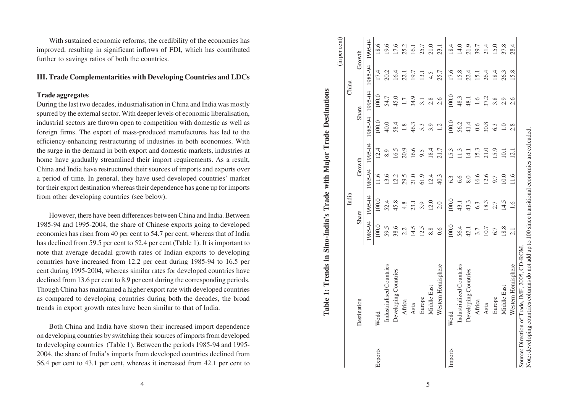With sustained economic reforms, the credibility of the economies has improved, resulting in significant inflows of FDI, which has contributed further to savings ratios of both the countries.

# **III. Trade Complementarities with Developing Countries and LDCs**

**Trade aggregates**

During the last two decades, industrialisation in China and India was mostly spurred by the external sector. With deeper levels of economic liberalisation, industrial sectors are thrown open to competition with domestic as well as foreign firms. The export of mass-produced manufactures has led to the efficiency-enhancing restructuring of industries in both economies. With the surge in the demand in both export and domestic markets, industries at home have gradually streamlined their import requirements. As a result, China and India have restructured their sources of imports and exports over a period of time. In general, they have used developed countries' market for their export destination whereas their dependence has gone up for imports from other developing countries (see below).

However, there have been differences between China and India. Between 1985-94 and 1995-2004, the share of Chinese exports going to developed economies has risen from 40 per cent to 54.7 per cent, whereas that of India has declined from 59.5 per cent to 52.4 per cent (Table 1). It is important to note that average decadal growth rates of Indian exports to developing countries have increased from 12.2 per cent during 1985-94 to 16.5 per cent during 1995-2004, whereas similar rates for developed countries have declined from 13.6 per cent to 8.9 per cent during the corresponding periods. Though China has maintained a higher export rate with developed countries as compared to developing countries during both the decades, the broad trends in export growth rates have been similar to that of India.

Both China and India have shown their increased import dependence on developing countries by switching their sources of imports from developed to developing countries (Table 1). Between the periods 1985-94 and 1995- 2004, the share of India's imports from developed countries declined from 56.4 per cent to 43.1 per cent, whereas it increased from 42.1 per cent to

4

(in per cent) (in per cent) 1995-04 195-9851 1995-04 1995-04 1995-04 1995-04 1995-04 1995-04 1995-04 1995-04 1995-04 1  $21.0$ 18.4 21.9 15.0 18.6 19.6 17.6 25.2 25.7 23.1 14.0  $21.4$ 37.8 1.91 39.7 28.4 9.81 1. c1 0.001 0.001 1. c1 0.001 0.001 0.001 1. c1 1. c1 1. c1 1. c1 1. c1 1. c1 Industrialised Countries 59.5 52.4 13.6 8.9 40.0 54.7 20.2 19.6  $\sigma$ Countries 38.4 45.8 59.9 12.2 12.2 16.9 16.9 16.9 16.4 16.4 16.4 17.12 16.4 16.4 17.12 16.4 17.12 17.12 17.12 17.12 17.12 17.12 17.12 17.12 17.12 17.12 17.12 17.12 17.12 17.12 17.12 17.12 17.12 17.12 17.12 17.12 17.12 Africa 2.2 4.8 29.5 20.9 1.8 1.7 22.1 25.2 Asia 14.5 23.1 21.0 16.6 46.3 34.9 19.7 16.1 Europe 12.5 3.9 61.9 61.9 5.3 5.3 3.1 13.1 25.7 Middle East 8.8 8.8 12.0 12.4 18.4 3.9 2.8 4.5 21.0 Western Hemisphere 0.6 2.0 40.3 21.7 1.2 2.6 25.7 23.1 Imports World 100.0 100.0 6.3 15.3 100.0 100.0 17.6 18.4 Industrialized Countries 56.4 43.1 6.6 11.3 56.2 48.3 15.8 14.0  $\sum_{i=1}^{\infty}$  Countries  $\sum_{i=1}^{\infty}$  43.1  $\frac{1}{4}$   $\frac{1}{4}$   $\frac{1}{4}$   $\frac{1}{4}$   $\frac{1}{4}$   $\frac{1}{4}$   $\frac{1}{4}$   $\frac{1}{4}$   $\frac{1}{4}$   $\frac{1}{4}$   $\frac{1}{4}$   $\frac{1}{4}$   $\frac{1}{4}$   $\frac{1}{4}$   $\frac{1}{4}$   $\frac{1}{4}$   $\frac{1}{4}$   $\frac{1}{$  Africa 3.7 6.3 16.6 15.3 0.6 1.6 15.1 39.7 Asia 10.7 18.3 12.6 21.0 30.8 37.2 26.4 21.4 Europe 6.7  $\frac{2.7}{6.7}$  5.9  $\frac{6.3}{6.3}$  5.8  $\frac{3.8}{3.8}$  18.4 18.4 Middle East 18.8 18.8 14.5 10.0 10.1 1.0 2.9 26.3 37.8 Growth Destination Growth Share Share Growth Share Share Growth 1985-94 13.1 25.7 17.6  $22.4$ 26.4 16.4 15.8  $7.4$  $20.2$  $22.1$ 19.7  $4.5$  $\overline{5.1}$ 18.4  $26.3$ 15.8 China India China 1995-04  $100.0$ 100.0 45.0 34.9 48.3 48.1 37.2 54.7  $1.7$  $3.1$  $2.8$  $2.6$  $1.6$ 3.8  $2.9$ <br> $2.6$ Share 1985-94 100.0 100.0 40.0 58.4 46.3 56.2 41.4 30.8  $\frac{8}{1}$ 5.3 3.9  $1.2$  $0.6$ 6.3  $\overline{0}$  $2.8$ 1995-04 15.3  $21.0$ 20.9  $6.6$ 18.4 15.9  $2.4$ 8.9  $6.5$  $9.5$ 21.7 11.3  $14.1$ **153**  $\overline{0}$ .  $\overline{2.1}$ Growth 1985-94 61.9  $12.4$ 40.3  $1.6$  $13.6$  $21.0$ 6.6  $2.6$  $0.0$  $12.2$ 29.5 6.3  $6.6$ 8.0 9.7 India 1995-04  $100.0$  $12.0$ 100.0 52.4 45.8 43.3  $4.8$  $23.1$ 3.9  $2.0$ 43.1 18.3  $\frac{4}{5}$ 6.3  $2.7$ Share 1985-94 100.0 100.0 38.6  $14.5$ 12.5 59.5 8.8  $0.6$ 56.4  $42.1$  $0.7$ 8.8  $2.2$ 3.7 6.7 Industrialised Countries Western Hemisphere Industrialized Countries Developing Countries Developing Countries Middle East Middle East Europe Europe Africa Africa **Destination** Asia Asia World World Imports Exports

**Table 1: Trends in Sino-India's Trade with Major Trade Destinations**

Table 1: Trends in Sino-India's Trade with Major Trade Destinations

Source: Direction of Trade, IMF, 2005, CD-ROM.<br>Note: developing countries columns do not add up to 100 since transitional economies are exlcuded. Note: developing countries columns do not add up to 100 since transitional economies are exlcuded.Source: Direction of Trade, IMF, 2005, CD-ROM.

Western Hemisphere 2.1 1.6 11.6 11.6 12.8 2.6 15.8 28.4

 $\tilde{e}$ 

 $\overline{2.1}$ 

Western Hemisphere

 $11.6$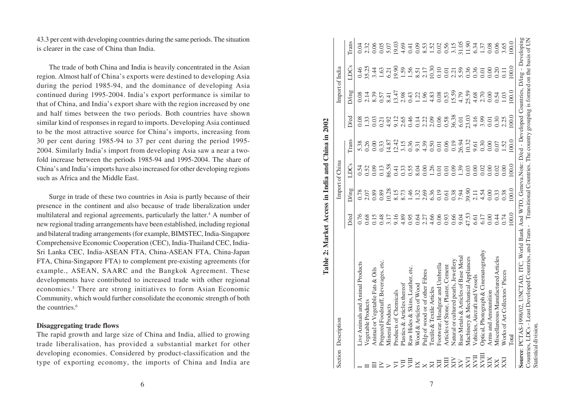43.3 per cent with developing countries during the same periods. The situation is clearer in the case of China than India.

The trade of both China and India is heavily concentrated in the Asian region. Almost half of China's exports were destined to developing Asia during the period 1985-94, and the dominance of developing Asia continued during 1995-2004. India's export performance is similar to that of China, and India's export share with the region increased by one and half times between the two periods. Both countries have shown similar kind of responses in regard to imports. Developing Asia continued to be the most attractive source for China's imports, increasing from 30 per cent during 1985-94 to 37 per cent during the period 1995- 2004. Similarly India's import from developing Asia saw a near a twofold increase between the periods 1985-94 and 1995-2004. The share of China's and India's imports have also increased for other developing regions such as Africa and the Middle East.

Surge in trade of these two countries in Asia is partly because of their presence in the continent and also because of trade liberalization under multilateral and regional agreements, particularly the latter.<sup>4</sup> A number of new regional trading arrangements have been established, including regional and bilateral trading arrangements (for example, BIMSTEC, India-Singapore Comprehensive Economic Cooperation (CEC), India-Thailand CEC, India-Sri Lanka CEC, India-ASEAN FTA, China-ASEAN FTA, China-Japan FTA, China-Singapore FTA) to complement pre-existing agreements (for example., ASEAN, SAARC and the Bangkok Agreement. These developments have contributed to increased trade with other regional economies. 5 There are strong initiatives to form Asian Economic Community, which would further consolidate the economic strength of both the countries. 6

# **Disaggregating trade flows**

The rapid growth and large size of China and India, allied to growing trade liberalisation, has provided a substantial market for other developing economies. Considered by product-classification and the type of exporting economy, the imports of China and India are

|                                  | Table 2: Market Access in India and China in 2002                                                                                                                                                                                                         |                       |                                                                                                                                                                                                                                                                                                               |                                      |                                                                                                                                                                                                                                |                                                                                                                                                                                                                                                                                                               |                            |                                                                                                                                    |       |
|----------------------------------|-----------------------------------------------------------------------------------------------------------------------------------------------------------------------------------------------------------------------------------------------------------|-----------------------|---------------------------------------------------------------------------------------------------------------------------------------------------------------------------------------------------------------------------------------------------------------------------------------------------------------|--------------------------------------|--------------------------------------------------------------------------------------------------------------------------------------------------------------------------------------------------------------------------------|---------------------------------------------------------------------------------------------------------------------------------------------------------------------------------------------------------------------------------------------------------------------------------------------------------------|----------------------------|------------------------------------------------------------------------------------------------------------------------------------|-------|
|                                  | Section Description                                                                                                                                                                                                                                       |                       |                                                                                                                                                                                                                                                                                                               | Import of China                      |                                                                                                                                                                                                                                |                                                                                                                                                                                                                                                                                                               |                            | Import of India                                                                                                                    |       |
|                                  |                                                                                                                                                                                                                                                           | D/ed                  | D/ing                                                                                                                                                                                                                                                                                                         | LDCs                                 | Trans                                                                                                                                                                                                                          | <b>D</b> ed                                                                                                                                                                                                                                                                                                   | D/ing                      | LDCs                                                                                                                               | Trans |
|                                  | ive Animals and Animal Products                                                                                                                                                                                                                           | 0.76                  |                                                                                                                                                                                                                                                                                                               |                                      | 5.38                                                                                                                                                                                                                           | 0.08                                                                                                                                                                                                                                                                                                          | 0.08                       |                                                                                                                                    | 0.04  |
|                                  | Vegetable Products                                                                                                                                                                                                                                        | 0.68                  |                                                                                                                                                                                                                                                                                                               |                                      |                                                                                                                                                                                                                                |                                                                                                                                                                                                                                                                                                               |                            |                                                                                                                                    |       |
| $=$ $E \geq$ $>$ $\bar{z}$       | Animal or Vegetable Fats & Oils                                                                                                                                                                                                                           | 0.15                  | 0.78<br>0.89<br>0.89                                                                                                                                                                                                                                                                                          | 0.54<br>0.52<br>0.03<br>0.41<br>0.03 | 0.26                                                                                                                                                                                                                           | $\frac{1.33}{0.03}$                                                                                                                                                                                                                                                                                           | $2.39$<br>$0.57$<br>$8.41$ | $9.5343$<br>$9.5343$<br>$9.533$<br>$9.533$<br>$1.532$<br>$1.532$<br>$1.532$<br>$1.532$<br>$1.532$<br>$1.532$<br>$1.533$<br>$1.532$ |       |
|                                  | Prepared Foodstuff, Beverages, etc                                                                                                                                                                                                                        | 0.48                  |                                                                                                                                                                                                                                                                                                               |                                      | 0.33                                                                                                                                                                                                                           |                                                                                                                                                                                                                                                                                                               |                            |                                                                                                                                    |       |
|                                  | <b>Mineral Products</b>                                                                                                                                                                                                                                   | 3.17                  |                                                                                                                                                                                                                                                                                                               |                                      |                                                                                                                                                                                                                                | $0.21$<br>4.92                                                                                                                                                                                                                                                                                                |                            |                                                                                                                                    |       |
|                                  | Products of Chemicals                                                                                                                                                                                                                                     | 9.16                  |                                                                                                                                                                                                                                                                                                               |                                      |                                                                                                                                                                                                                                | 9.13<br>2.65<br>0.46                                                                                                                                                                                                                                                                                          |                            |                                                                                                                                    |       |
| 罗                                | Plastics & Articles thereof                                                                                                                                                                                                                               | 4.89                  |                                                                                                                                                                                                                                                                                                               |                                      |                                                                                                                                                                                                                                |                                                                                                                                                                                                                                                                                                               |                            |                                                                                                                                    |       |
|                                  | Raw Hides & Skins, Leather, etc.                                                                                                                                                                                                                          | 0.95                  |                                                                                                                                                                                                                                                                                                               |                                      |                                                                                                                                                                                                                                |                                                                                                                                                                                                                                                                                                               |                            |                                                                                                                                    |       |
|                                  | Wood & Articles of Wood                                                                                                                                                                                                                                   |                       |                                                                                                                                                                                                                                                                                                               |                                      |                                                                                                                                                                                                                                |                                                                                                                                                                                                                                                                                                               |                            |                                                                                                                                    |       |
|                                  | Pulp of wood or of other Fibres                                                                                                                                                                                                                           | $0.64$<br>2.27        |                                                                                                                                                                                                                                                                                                               |                                      |                                                                                                                                                                                                                                |                                                                                                                                                                                                                                                                                                               |                            |                                                                                                                                    |       |
| $X \times Z$<br>$X \times Z$     | <b>Textile &amp; Textile Articles</b>                                                                                                                                                                                                                     | 4.66                  | $\begin{array}{c} 0.38 \\ 0.31 \\ 0.31 \\ 0.32 \\ 0.33 \\ 0.44 \\ 0.35 \\ 0.36 \\ 0.37 \\ 0.38 \\ 0.37 \\ 0.39 \\ 0.37 \\ 0.39 \\ 0.39 \\ 0.39 \\ 0.39 \\ 0.39 \\ 0.39 \\ 0.39 \\ 0.39 \\ 0.39 \\ 0.39 \\ 0.39 \\ 0.39 \\ 0.39 \\ 0.39 \\ 0.39 \\ 0.39 \\ 0.39 \\ 0.39 \\ 0.39 \\ 0.39 \\ 0.39 \\ 0.39 \\ 0.$ |                                      | $11.4$ $1.5$ $8.5$ $1.6$ $1.6$ $1.6$ $1.6$ $1.6$ $1.6$ $1.6$ $1.6$ $1.6$ $1.6$ $1.6$ $1.6$ $1.6$ $1.6$ $1.6$ $1.6$ $1.6$ $1.6$ $1.6$ $1.6$ $1.6$ $1.6$ $1.6$ $1.6$ $1.6$ $1.6$ $1.6$ $1.6$ $1.6$ $1.6$ $1.6$ $1.6$ $1.6$ $1.6$ | $\begin{array}{c} 114 \\ 0.12 \\ 0.08 \\ 0.05 \\ 0.07 \\ 0.08 \\ 0.07 \\ 0.03 \\ 0.01 \\ 0.01 \\ 0.01 \\ 0.01 \\ 0.01 \\ 0.01 \\ 0.01 \\ 0.01 \\ 0.01 \\ 0.01 \\ 0.01 \\ 0.01 \\ 0.01 \\ 0.01 \\ 0.01 \\ 0.01 \\ 0.01 \\ 0.01 \\ 0.01 \\ 0.01 \\ 0.01 \\ 0.01 \\ 0.01 \\ 0.01 \\ 0.01 \\ 0.01 \\ 0.01 \\ 0.0$ |                            |                                                                                                                                    |       |
|                                  | Footwear, Headgear and Umbrella                                                                                                                                                                                                                           | 0.06                  |                                                                                                                                                                                                                                                                                                               |                                      |                                                                                                                                                                                                                                |                                                                                                                                                                                                                                                                                                               |                            |                                                                                                                                    |       |
|                                  | Articles of Stone, Plaster, Cement                                                                                                                                                                                                                        | 0.93                  |                                                                                                                                                                                                                                                                                                               |                                      |                                                                                                                                                                                                                                |                                                                                                                                                                                                                                                                                                               |                            |                                                                                                                                    |       |
|                                  | Natural or cultured pearls, Jewellery                                                                                                                                                                                                                     | 0.66                  |                                                                                                                                                                                                                                                                                                               |                                      |                                                                                                                                                                                                                                |                                                                                                                                                                                                                                                                                                               |                            |                                                                                                                                    |       |
| $\overline{\rm XV}$              | Base Metals & Articles of Base Metal                                                                                                                                                                                                                      |                       |                                                                                                                                                                                                                                                                                                               |                                      |                                                                                                                                                                                                                                |                                                                                                                                                                                                                                                                                                               |                            |                                                                                                                                    |       |
| <b>IAX</b>                       | Machinery & Mechanical Appliances                                                                                                                                                                                                                         | 9.04<br>47.53<br>6.61 | $39.140$<br>$0.140$<br>$0.06$                                                                                                                                                                                                                                                                                 | 0.01<br>0.03<br>0.00<br>0.00         |                                                                                                                                                                                                                                |                                                                                                                                                                                                                                                                                                               |                            |                                                                                                                                    |       |
| <b>IIAX</b>                      | Vehicles, Aircraft and Vessels                                                                                                                                                                                                                            |                       |                                                                                                                                                                                                                                                                                                               |                                      |                                                                                                                                                                                                                                |                                                                                                                                                                                                                                                                                                               |                            |                                                                                                                                    |       |
| XVIII                            | Optical, Photograph & Cinematography                                                                                                                                                                                                                      | 6.17                  |                                                                                                                                                                                                                                                                                                               | 0.02                                 |                                                                                                                                                                                                                                |                                                                                                                                                                                                                                                                                                               |                            |                                                                                                                                    |       |
| $\mathbf{X}\mathbf{I}\mathbf{X}$ | Arms and Ammunition                                                                                                                                                                                                                                       | 0.00                  |                                                                                                                                                                                                                                                                                                               | 0.00                                 | 0.00                                                                                                                                                                                                                           |                                                                                                                                                                                                                                                                                                               |                            | 0.00                                                                                                                               |       |
| $\mathbf{X}\mathbf{X}$           | Miscellaneous Manufactured Articles                                                                                                                                                                                                                       | 0.44                  | 0.33                                                                                                                                                                                                                                                                                                          | 0.02                                 | 0.07                                                                                                                                                                                                                           | $0.30$<br>$2.25$                                                                                                                                                                                                                                                                                              | $0.54$<br>1.03             | 0.20                                                                                                                               |       |
| XXI                              | Works of Art Collectors' Pieces                                                                                                                                                                                                                           | 0.74                  | 0.38                                                                                                                                                                                                                                                                                                          | 0.00                                 | 1.52                                                                                                                                                                                                                           |                                                                                                                                                                                                                                                                                                               |                            |                                                                                                                                    | 3.65  |
|                                  | <b>Total</b>                                                                                                                                                                                                                                              | 100.0                 | 00.0                                                                                                                                                                                                                                                                                                          | 100.0                                | 100.0                                                                                                                                                                                                                          | 100.0                                                                                                                                                                                                                                                                                                         | 100.0                      | 100.0                                                                                                                              | 100.0 |
|                                  | Source: PCTAS-1998/02, UNCTAD, ITC, World Bank And WTO, Geneva.Note: Deed - Developed Countries, D/ing - Developing<br>Countries, LDCs - Least Developed Countries, and Trans - Transitional Countries. The country grouping is formed on the basis of UN |                       |                                                                                                                                                                                                                                                                                                               |                                      |                                                                                                                                                                                                                                |                                                                                                                                                                                                                                                                                                               |                            |                                                                                                                                    |       |
|                                  |                                                                                                                                                                                                                                                           |                       |                                                                                                                                                                                                                                                                                                               |                                      |                                                                                                                                                                                                                                |                                                                                                                                                                                                                                                                                                               |                            |                                                                                                                                    |       |

Statistical division.

Statistical division.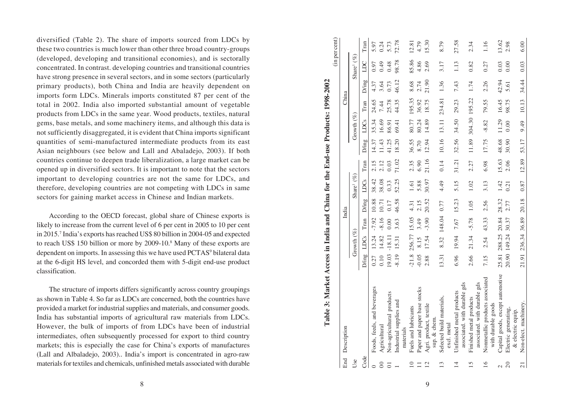diversified (Table 2). The share of imports sourced from LDCs by these two countries is much lower than other three broad country-groups (developed, developing and transitional economies), and is sectorally concentrated. In contrast. developing countries and transitional countries have strong presence in several sectors, and in some sectors (particularly primary products), both China and India are heavily dependent on imports form LDCs. Minerals imports constituted 87 per cent of the total in 2002. India also imported substantial amount of vegetable products from LDCs in the same year. Wood products, textiles, natural gems, base metals, and some machinery items, and although this data is not sufficiently disaggregated, it is evident that China imports significant quantities of semi-manufactured intermediate products from its east Asian neighbours (see below and Lall and Abaladejo, 2003). If both countries continue to deepen trade liberalization, a large market can be opened up in diversified sectors. It is important to note that the sectors important to developing countries are not the same for LDCs, and therefore, developing countries are not competing with LDCs in same sectors for gaining market access in Chinese and Indian markets.

According to the OECD forecast, global share of Chinese exports is likely to increase from the current level of 6 per cent in 2005 to 10 per cent in 2015. 7 India's exports has reached US\$ 80 billion in 2004-05 and expected to reach US\$ 150 billion or more by 2009-10. 8 Many of these exports are dependent on imports. In assessing this we have used PCTAS<sup>9</sup> bilateral data at the 6-digit HS level, and concorded them with 5-digit end-use product classification.

The structure of imports differs significantly across country groupings as shown in Table 4. So far as LDCs are concerned, both the countries have provided a market for industrial supplies and materials, and consumer goods. India has substantial imports of agricultural raw materials from LDCs. However, the bulk of imports of from LDCs have been of industrial intermediates, often subsequently processed for export to third country markets; this is especially the case for China's exports of manufactures (Lall and Albaladejo, 2003).. India's import is concentrated in agro-raw materials for textiles and chemicals, unfinished metals associated with durable

|                                                                                                               | í |
|---------------------------------------------------------------------------------------------------------------|---|
|                                                                                                               |   |
|                                                                                                               |   |
|                                                                                                               |   |
|                                                                                                               |   |
|                                                                                                               |   |
|                                                                                                               |   |
|                                                                                                               |   |
|                                                                                                               |   |
|                                                                                                               |   |
|                                                                                                               |   |
|                                                                                                               |   |
|                                                                                                               |   |
|                                                                                                               |   |
|                                                                                                               |   |
|                                                                                                               |   |
|                                                                                                               |   |
|                                                                                                               |   |
|                                                                                                               |   |
|                                                                                                               |   |
|                                                                                                               |   |
|                                                                                                               |   |
|                                                                                                               |   |
|                                                                                                               |   |
|                                                                                                               |   |
|                                                                                                               |   |
|                                                                                                               |   |
|                                                                                                               |   |
|                                                                                                               |   |
|                                                                                                               |   |
|                                                                                                               |   |
|                                                                                                               |   |
|                                                                                                               |   |
|                                                                                                               |   |
|                                                                                                               |   |
|                                                                                                               |   |
|                                                                                                               |   |
|                                                                                                               |   |
|                                                                                                               |   |
|                                                                                                               |   |
|                                                                                                               |   |
|                                                                                                               |   |
|                                                                                                               |   |
|                                                                                                               |   |
|                                                                                                               |   |
|                                                                                                               |   |
| $\frac{1}{2}$ we keep Access in India and China for the End-use Products: 1996-2004<br>$\angle$ able 3: $N^*$ |   |
|                                                                                                               |   |
|                                                                                                               |   |
|                                                                                                               |   |
|                                                                                                               |   |

|                          |                                                           |         |                      |         |       |                        |       |       |               |        |       |                        | (in per cent) |
|--------------------------|-----------------------------------------------------------|---------|----------------------|---------|-------|------------------------|-------|-------|---------------|--------|-------|------------------------|---------------|
|                          | End Description                                           |         |                      |         | India |                        |       |       |               | China  |       |                        |               |
| Use                      |                                                           |         | Growth $(\%)$        |         |       | Share <sup>1</sup> (%) |       |       | Growth $(\%)$ |        |       | Share <sup>1</sup> (%) |               |
| Code                     |                                                           | D/ing   | LDCs                 | Tran    | D/ing | LDCs                   | Tran  | D/ing | LDCs          | Tran   | D/ing | LDC                    | Tran          |
|                          | Foods, feeds, and beverages                               | 0.27    | 13.24                | $-7.92$ | 10.88 | 38.42                  | 2.15  | 14.37 | 35.34         | 24.65  | 4.37  | 0.97                   | 5.97          |
|                          | Agricultural                                              | 0.10    | 14.82                | $-8.16$ | 10.71 | 38.08                  | 2.12  | 11.43 | 16.69         | 7.44   | 3.64  | 0.49                   | 0.24          |
|                          | Non-agricultural products                                 | 19.03   | $-18.11$             | 0.00    | 0.17  | 0.33                   | 0.03  | 41.25 | 86.91         | 25.78  | 0.73  | 0.48                   | 5.73          |
|                          | Industrial supplies and<br>materials                      | $-8.19$ | 15.31                | 3.63    | 46.58 | 52.25                  | 71.02 | 18.20 | 69.41         | 44.35  | 46.12 | 98.78                  | 72.78         |
| $\overline{\phantom{0}}$ | Fuels and lubricants                                      |         | $-21.8$ 256.77 15.05 |         | 4.31  | 1.61                   | 2.35  | 36.55 | 80.77         | 195.35 | 8.68  | 85.86                  | 12.81         |
|                          | Paper and paper base stocks                               | $-0.05$ | 8.15                 | 3.49    | 2.15  | 5.88                   | 6.90  | 8.70  | 80.24         | 36.92  | 2.74  | 4.86                   | 4.79          |
| $\overline{2}$           | Agri. product, textile<br>sup. & chem.                    | 2.88    | 17.54                | $-3.90$ | 20.52 | 30.97                  | 21.16 | 12.94 | 14.89         | 18.75  | 21.90 | 2.69                   | 15.30         |
| $\frac{3}{2}$            | Selected build materials,<br>excl. metal                  | 13.31   | 8.32                 | 148.04  | 0.77  | 4.49                   | 0.14  | 10.16 | 13.11         | 234.81 | 1.36  | 3.17                   | 8.79          |
| $\overline{14}$          | associated. with durable gds<br>Unfinished metal products | 6.96    | 19.94                | 7.67    | 15.23 | 5.15                   | 31.21 | 32.56 | 34.50         | 29.23  | 7.43  | 1.13                   | 27.58         |
| 15                       | associated. with durable gds<br>Finished metal products   | 2.66    | 21.34                | $-5.78$ | 1.05  | 1.02                   | 2.27  | 11.89 | 304.30 195.22 |        | 1.74  | 0.82                   | 2.34          |
| 16                       | Nonmetallic products associated<br>with durable goods     | 7.15    | 2.54                 | 43.33   | 2.56  | 3.13                   | 6.98  | 17.75 | $-8.82$       | 79.55  | 2.26  | 0.27                   | 1.16          |
|                          | Capital goods, except automotive                          |         | 25.81 288.25 20.84   |         | 28.32 | 1.42                   | 15.63 | 48.68 | 11.29         | 16.45  | 42.94 | 0.03                   | 13.62         |
| 20                       | Electric generating,<br>& electric equip.                 |         | 20.90 149.24         | 30.37   | 2.77  | 0.21                   | 2.06  | 30.90 | 0.00          | 98.75  | 5.61  | 0.00                   | 2.98          |
| $\overline{21}$          | Non-elect. machinery                                      |         | 21.91 236.34 36.89   |         | 20.18 | 0.87                   | 12.89 | 53.17 | 9.49          | 10.13  | 34.44 | 0.03                   | 6.00          |

9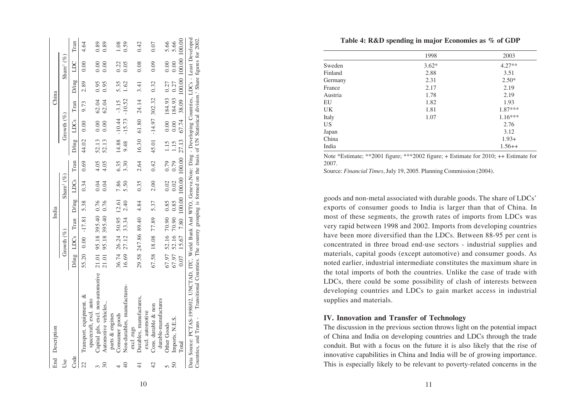**Table 4: R&D spending in major Economies as % of GDP**

|           | 1998    | 2003      |
|-----------|---------|-----------|
| Sweden    | $3.62*$ | $4.27**$  |
| Finland   | 2.88    | 3.51      |
| Germany   | 2.31    | $2.50*$   |
| France    | 2.17    | 2.19      |
| Austria   | 1.78    | 2.19      |
| EU        | 1.82    | 1.93      |
| <b>UK</b> | 1.81    | $1.87***$ |
| Italy     | 1.07    | $1.16***$ |
| US        |         | 2.76      |
| Japan     |         | 3.12      |
| China     |         | $1.93+$   |
| India     |         | $1.56++$  |
|           |         |           |

Note \*Estimate; \*\*2001 figure; \*\*\*2002 figure; + Estimate for 2010; ++ Estimate for 2007.

Source: *Financial Times*, July 19, 2005. Planning Commission (2004).

goods and non-metal associated with durable goods. The share of LDCs' exports of consumer goods to India is larger than that of China. In most of these segments, the growth rates of imports from LDCs was very rapid between 1998 and 2002. Imports from developing countries have been more diversified than the LDCs. Between 88-95 per cent is concentrated in three broad end-use sectors - industrial supplies and materials, capital goods (except automotive) and consumer goods. As noted earlier, industrial intermediate constitutes the maximum share in the total imports of both the countries. Unlike the case of trade with LDCs, there could be some possibility of clash of interests between developing countries and LDCs to gain market access in industrial supplies and materials.

# **IV. Innovation and Transfer of Technology**

The discussion in the previous section throws light on the potential impact of China and India on developing countries and LDCs through the trade conduit. But with a focus on the future it is also likely that the rise of innovative capabilities in China and India will be of growing importance. This is especially likely to be relevant to poverty-related concerns in the

|                          | End Description                                                                                                                                             |       |               |                         | India                  |                                 |             |       |                        | China                                            |                            |                        |      |
|--------------------------|-------------------------------------------------------------------------------------------------------------------------------------------------------------|-------|---------------|-------------------------|------------------------|---------------------------------|-------------|-------|------------------------|--------------------------------------------------|----------------------------|------------------------|------|
| Use                      |                                                                                                                                                             |       | Growth $(\%)$ |                         |                        | Share <sup>1</sup> $(\%)$       |             |       | Growth $(\%)$          |                                                  |                            | Share <sup>1</sup> (%) |      |
| Code                     |                                                                                                                                                             |       |               |                         |                        | D/ing LDCs Tran D/ing LDCs Tran |             |       | D/ing LDCs             | Tran                                             |                            | D/ing LDC Tran         |      |
| 22                       | Transport. equipment. &                                                                                                                                     |       |               |                         |                        |                                 |             |       |                        | 55.20 0.00 -17.81 5.38 0.34 0.69 44.02 0.00 9.73 | 2.89 0.00                  |                        | 4.64 |
|                          | Capital gds, excl. non-automotive<br>spacecraft, excl. auto                                                                                                 |       |               | 21.01 95.18 395.40 0.76 |                        | 0.04                            | 4.05        | 52.13 | 0.00                   | 62.04                                            | 0.95                       | 0.00                   | 0.89 |
| $\overline{\mathcal{E}}$ | Automotive vehicles.,                                                                                                                                       | 21.01 |               | 95.18 395.40            | 0.76                   | 0.04                            | 4.05        | 52.13 | 0.00                   | 62.04                                            | 0.95                       | 0.00                   | 0.89 |
|                          | parts & engines                                                                                                                                             |       |               |                         |                        |                                 |             |       |                        |                                                  |                            |                        |      |
| $\overline{ }$           | Consumer goods                                                                                                                                              |       |               | 36.74 26.24 50.95 12.61 |                        | 7.86                            | 6.35        |       | $14.88 - 10.44 - 3.15$ |                                                  | 5.35                       | 0.22                   | 1.08 |
| ₽,                       | Non-durables, manufactures-                                                                                                                                 | 16.69 | 27.12         | 33.34                   | 2.40                   | 5.50                            | 3.30        | 9.48  | $-15.73$               | $-10.52$                                         | 1.62                       | 0.05                   | 0.59 |
|                          | excl .rugs                                                                                                                                                  |       |               |                         |                        |                                 |             |       |                        |                                                  |                            |                        |      |
| ∓                        | Durables, manufactures,                                                                                                                                     |       |               | 29.58 247.86 89.40 4.84 |                        | 0.35                            |             |       |                        | 2.64 16.30 61.80 24.14 3.41                      |                            | 0.08                   | 0.42 |
|                          | excl. automotive                                                                                                                                            |       |               |                         |                        |                                 |             |       |                        |                                                  |                            |                        |      |
| 42                       | Cons. durable & non                                                                                                                                         |       |               | 67.58 18.08 77.89 5.37  |                        | 2.00                            | 0.42        | 45.01 |                        | $-14.97$ 302.32                                  | 0.32                       | 0.09                   | 0.07 |
|                          | durable-manufactures                                                                                                                                        |       |               |                         |                        |                                 |             |       |                        |                                                  |                            |                        |      |
| $\Omega$                 | <b>Other Goods</b>                                                                                                                                          |       |               |                         | 67.97 52.16 70.90 0.85 |                                 | $0.02$ 0.79 |       |                        | 1.15 0.00 184.93 0.27                            |                            | 0.00                   | 5.66 |
| $50\,$                   | Imports, N.E.S.                                                                                                                                             |       |               |                         | 67.97 52.16 70.90 0.85 | 0.02                            | 0.79        | 1.15  |                        | 0.00 184.93                                      | 0.27                       | 0.00                   | 5.66 |
|                          | $\Gamma$ otal                                                                                                                                               | 0.07  | 15.67         |                         |                        | 7.80 100.00 100.00 100.00 27.13 |             |       | 67.74                  |                                                  | 38.09 100.00 100.00 100.00 |                        |      |
|                          | Data Source: PCTAS-1998/02, UNCTAD, ITC, World Bank And WTO, Geneva.Note: Ding - Developing Countries, LDCs - Least Developed                               |       |               |                         |                        |                                 |             |       |                        |                                                  |                            |                        |      |
|                          | Countries, and Trans - Transitional Countries. The country grouping is formed on the basis of UN Statistical division. <sup>1</sup> Share figures for 2002. |       |               |                         |                        |                                 |             |       |                        |                                                  |                            |                        |      |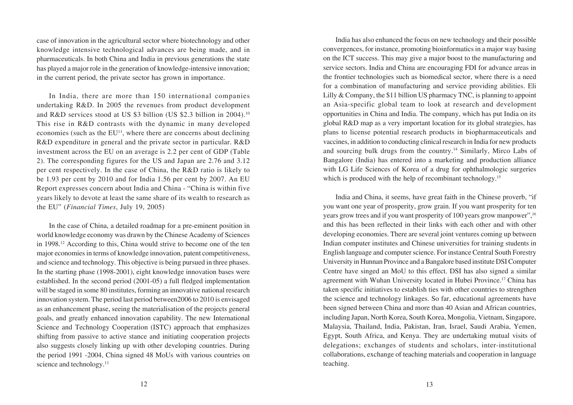case of innovation in the agricultural sector where biotechnology and other knowledge intensive technological advances are being made, and in pharmaceuticals. In both China and India in previous generations the state has played a major role in the generation of knowledge-intensive innovation; in the current period, the private sector has grown in importance.

In India, there are more than 150 international companies undertaking R&D. In 2005 the revenues from product development and R&D services stood at US \$3 billion (US \$2.3 billion in 2004).<sup>10</sup> This rise in R&D contrasts with the dynamic in many developed economies (such as the  $EU<sup>11</sup>$ , where there are concerns about declining R&D expenditure in general and the private sector in particular. R&D investment across the EU on an average is 2.2 per cent of GDP (Table 2). The corresponding figures for the US and Japan are 2.76 and 3.12 per cent respectively. In the case of China, the R&D ratio is likely to be 1.93 per cent by 2010 and for India 1.56 per cent by 2007. An EU Report expresses concern about India and China - "China is within five years likely to devote at least the same share of its wealth to research as the EU" (*Financial Times*, July 19, 2005)

In the case of China, a detailed roadmap for a pre-eminent position in world knowledge economy was drawn by the Chinese Academy of Sciences in 1998.12 According to this, China would strive to become one of the ten major economies in terms of knowledge innovation, patent competitiveness, and science and technology. This objective is being pursued in three phases. In the starting phase (1998-2001), eight knowledge innovation bases were established. In the second period (2001-05) a full fledged implementation will be staged in some 80 institutes, forming an innovative national research innovation system. The period last period between2006 to 2010 is envisaged as an enhancement phase, seeing the materialisation of the projects general goals, and greatly enhanced innovation capability. The new International Science and Technology Cooperation (ISTC) approach that emphasizes shifting from passive to active stance and initiating cooperation projects also suggests closely linking up with other developing countries. During the period 1991 -2004, China signed 48 MoUs with various countries on science and technology.<sup>13</sup>

India has also enhanced the focus on new technology and their possible convergences, for instance, promoting bioinformatics in a major way basing on the ICT success. This may give a major boost to the manufacturing and service sectors. India and China are encouraging FDI for advance areas in the frontier technologies such as biomedical sector, where there is a need for a combination of manufacturing and service providing abilities. Eli Lilly & Company, the \$11 billion US pharmacy TNC, is planning to appoint an Asia-specific global team to look at research and development opportunities in China and India. The company, which has put India on its global R&D map as a very important location for its global strategies, has plans to license potential research products in biopharmaceuticals and vaccines, in addition to conducting clinical research in India for new products and sourcing bulk drugs from the country.<sup>14</sup> Similarly, Mirco Labs of Bangalore (India) has entered into a marketing and production alliance with LG Life Sciences of Korea of a drug for ophthalmologic surgeries which is produced with the help of recombinant technology.<sup>15</sup>

India and China, it seems, have great faith in the Chinese proverb, "if you want one year of prosperity, grow grain. If you want prosperity for ten years grow trees and if you want prosperity of 100 years grow manpower", <sup>16</sup> and this has been reflected in their links with each other and with other developing economies. There are several joint ventures coming up between Indian computer institutes and Chinese universities for training students in English language and computer science. For instance Central South Forestry University in Hunnan Province and a Bangalore based institute DSI Computer Centre have singed an MoU to this effect. DSI has also signed a similar agreement with Wuhan University located in Hubei Province.<sup>17</sup> China has taken specific initiatives to establish ties with other countries to strengthen the science and technology linkages. So far, educational agreements have been signed between China and more than 40 Asian and African countries, including Japan, North Korea, South Korea, Mongolia, Vietnam, Singapore, Malaysia, Thailand, India, Pakistan, Iran, Israel, Saudi Arabia, Yemen, Egypt, South Africa, and Kenya. They are undertaking mutual visits of delegations; exchanges of students and scholars, inter-institutional collaborations, exchange of teaching materials and cooperation in language teaching.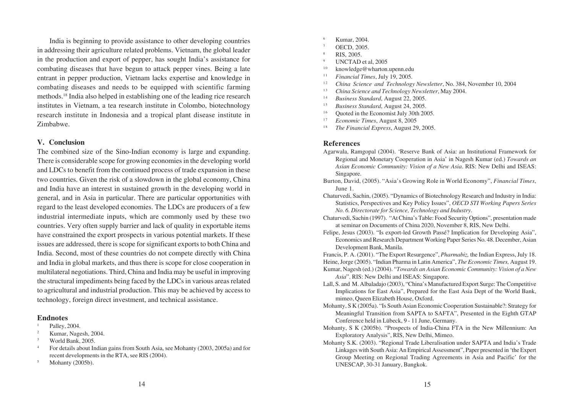India is beginning to provide assistance to other developing countries in addressing their agriculture related problems. Vietnam, the global leader in the production and export of pepper, has sought India's assistance for combating diseases that have begun to attack pepper vines. Being a late entrant in pepper production, Vietnam lacks expertise and knowledge in combating diseases and needs to be equipped with scientific farming methods.18 India also helped in establishing one of the leading rice research institutes in Vietnam, a tea research institute in Colombo, biotechnology research institute in Indonesia and a tropical plant disease institute in Zimbabwe.

#### **V. Conclusion**

The combined size of the Sino-Indian economy is large and expanding. There is considerable scope for growing economies in the developing world and LDCs to benefit from the continued process of trade expansion in these two countries. Given the risk of a slowdown in the global economy, China and India have an interest in sustained growth in the developing world in general, and in Asia in particular. There are particular opportunities with regard to the least developed economies. The LDCs are producers of a few industrial intermediate inputs, which are commonly used by these two countries. Very often supply barrier and lack of quality in exportable items have constrained the export prospects in various potential markets. If these issues are addressed, there is scope for significant exports to both China and India. Second, most of these countries do not compete directly with China and India in global markets, and thus there is scope for close cooperation in multilateral negotiations. Third, China and India may be useful in improving the structural impediments being faced by the LDCs in various areas related to agricultural and industrial production. This may be achieved by access to technology, foreign direct investment, and technical assistance.

#### **Endnotes**

- Palley, 2004.
- <sup>2</sup> Kumar, Nagesh, 2004.
- <sup>3</sup> World Bank, 2005.
- <sup>4</sup> For details about Indian gains from South Asia, see Mohanty (2003, 2005a) and for recent developments in the RTA, see RIS (2004).
- <sup>5</sup> Mohanty (2005b).
- <sup>6</sup> Kumar, 2004.
- OECD, 2005.
- <sup>8</sup> RIS, 2005.
- <sup>9</sup> UNCTAD et al, 2005
- <sup>10</sup> knowledge@wharton.upenn.edu<br><sup>11</sup> Einancial Times, July 19, 2005
- 1 1 *Financial Times*, July 19, 2005.
- <sup>12</sup> *China Science and Technology Newsletter*, No. 384, November 10, 2004
- 1 3 *China Science and Technology Newsletter*, May 2004.
- <sup>14</sup> *Business Standard*, August 22, 2005.
- <sup>15</sup> *Business Standard*, August 24, 2005.
- Ouoted in the Economist July 30th 2005.
- <sup>17</sup> *Economic Times*, August 8, 2005
- 1 8 *The Financial Express*, August 29, 2005.

#### **References**

- Agarwala, Ramgopal (2004). 'Reserve Bank of Asia: an Institutional Framework for Regional and Monetary Cooperation in Asia' in Nagesh Kumar (ed.) *Towards an Asian Economic Community: Vision of a New Asia*. RIS: New Delhi and ISEAS: Singapore.
- Burton, David, (2005). "Asia's Growing Role in World Economy", *Financial Times*, June 1.
- Chaturvedi, Sachin, (2005). "Dynamics of Biotechnology Research and Industry in India: Statistics, Perspectives and Key Policy Issues", *OECD STI Working Papers Series No. 6. Directorate for Science, Technology and Industry*.
- Chaturvedi, Sachin (1997). "At China's Table: Food Security Options", presentation made at seminar on Documents of China 2020, November 8, RIS, New Delhi.
- Felipe, Jesus (2003). "Is export-led Growth Passé? Implication for Developing Asia", Economics and Research Department Working Paper Series No. 48. December, Asian Development Bank, Manila.

Francis, P. A. (2001). "The Export Resurgence", *Pharmabiz,* the Indian Express, July 18. Heine, Jorge (2005). "Indian Pharma in Latin America", *The Economic Times,* August 19. Kumar, Nagesh (ed.) (2004). "*Towards an Asian Economic Community: Vision of a New Asia*". RIS: New Delhi and ISEAS: Singapore.

- Lall, S. and M. Albaladajo (2003), "China's Manufactured Export Surge: The Competitive Implications for East Asia", Prepared for the East Asia Dept of the World Bank, mimeo, Queen Elizabeth House, Oxford.
- Mohanty, S K (2005a). "Is South Asian Economic Cooperation Sustainable?: Strategy for Meaningful Transition from SAPTA to SAFTA", Presented in the Eighth GTAP Conference held in Lübeck, 9 - 11 June, Germany.
- Mohanty, S K (2005b). "Prospects of India-China FTA in the New Millennium: An Exploratory Analysis", RIS, New Delhi, Mimeo.
- Mohanty S.K. (2003). "Regional Trade Liberalisation under SAPTA and India's Trade Linkages with South Asia: An Empirical Assessment", Paper presented in 'the Expert Group Meeting on Regional Trading Agreements in Asia and Pacific' for the UNESCAP, 30-31 January, Bangkok.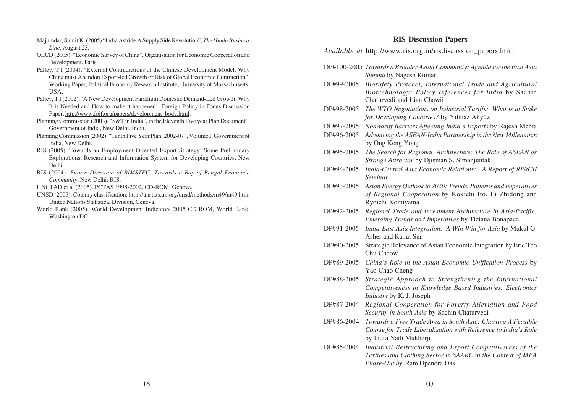- Majumdar, Sumit K. (2005) "India Astride A Supply Side Revolution", *The Hindu Business Line,* August 23.
- OECD (2005). "Economic Survey of China", Organisation for Economic Cooperation and Development, Paris.
- Palley, T I (2004). "External Contradictions of the Chinese Development Model: Why China must Abandon Export-led Growth or Risk of Global Economic Contraction", Working Paper, Political Economy Research Institute, University of Massachusetts, USA.
- Palley, T I (2002). 'A New Development Paradigm Domestic Demand-Led Growth: Why It is Needed and How to make it happened', Foreign Policy in Focus Discussion Paper, http://www.fpif.org/papers/development\_body.html.
- Planning Commission (2003). "S&T in India", in the Eleventh Five year Plan Document", Government of India, New Delhi, India.
- Planning Commission (2002). "Tenth Five Year Plan: 2002-07", Volume I, Government of India, New Delhi.
- RIS (2005). Towards an Employment-Oriented Export Strategy: Some Preliminary Explorations, Research and Information System for Developing Countries, New Delhi.
- RIS (2004). *Future Direction of BIMSTEC: Towards a Bay of Bengal Economic Community*, New Delhi: RIS.
- UNCTAD et al (2005). PCTAS 1998-2002, CD-ROM, Geneva.
- UNSD (2005). Country classification: http://unstats.un.org/unsd/methods/m49/m49.htm, United Nations Statistical Division, Geneva.
- World Bank (2005). World Development Indicators 2005 CD-ROM, World Bank, Washington DC.

# **RIS Discussion Papers**

*Available at* http://www.ris.org.in/risdiscussion\_papers.html

- DP#100-2005 *Towards a Broader Asian Community: Agenda for the East Asia Summit* by Nagesh Kumar
- DP#99-2005 *Biosafety Protocol, International Trade and Agricultural Biotechnology: Policy Inferences for India* by Sachin Chaturvedi and Lian Chawii
- DP#98-2005 *The WTO Negotiations on Industrial Tariffs: What is at Stake for Developing Countries?* by Yilmaz Akyüz
- DP#97-2005 *Non-tariff Barriers Affecting India's Exports* by Rajesh Mehta
- DP#96-2005 *Advancing the ASEAN-India Partnership in the New Millennium* by Ong Keng Yong
- DP#95-2005 *The Search for Regional Architecture: The Role of ASEAN as Strange Attractor* by Djisman S. Simanjuntak
- DP#94-2005 *India-Central Asia Economic Relations: A Report of RIS/CII Seminar*
- DP#93-2005 *Asian Energy Outlook to 2020: Trends, Patterns and Imperatives of Regional Cooperation* by Kokichi Ito, Li Zhidong and Ryoichi Komiyama
- DP#92-2005 *Regional Trade and Investment Architecture in Asia-Pacific: Emerging Trends and Imperatives* by Tiziana Bonapace
- DP#91-2005 *India-East Asia Integration: A Win-Win for Asia* by Mukul G. Asher and Rahul Sen
- DP#90-2005 Strategic Relevance of Asian Economic Integration by Eric Teo Chu Cheow
- DP#89-2005 *China's Role in the Asian Economic Unification Process* by Yao Chao Cheng
- DP#88-2005 *Strategic Approach to Strengthening the International Competitiveness in Knowledge Based Industries: Electronics Industry* by K. J. Joseph
- DP#87-2004 *Regional Cooperation for Poverty Alleviation and Food Security in South Asia* by Sachin Chaturvedi
- DP#86-2004 *Towards a Free Trade Area in South Asia: Charting A Feasible Course for Trade Liberalisation with Reference to India's Role* by Indra Nath Mukherji
- DP#85-2004 *Industrial Restructuring and Export Competitiveness of the Textiles and Clothing Sector in SAARC in the Context of MFA Phase-Out by* Ram Upendra Das